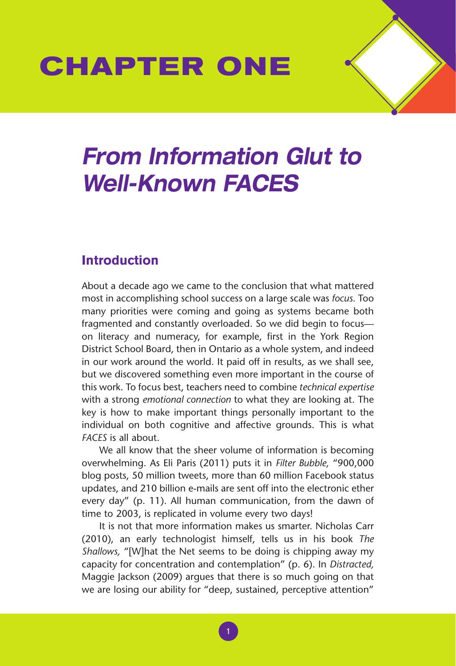# **CHAPTER ONE**

# *From Information Glut to Well-Known FACES*

# **Introduction**

About a decade ago we came to the conclusion that what mattered most in accomplishing school success on a large scale was *focus.* Too many priorities were coming and going as systems became both fragmented and constantly overloaded. So we did begin to focus on literacy and numeracy, for example, first in the York Region District School Board, then in Ontario as a whole system, and indeed in our work around the world. It paid off in results, as we shall see, but we discovered something even more important in the course of this work. To focus best, teachers need to combine *technical expertise* with a strong *emotional connection* to what they are looking at. The key is how to make important things personally important to the individual on both cognitive and affective grounds. This is what *FACES* is all about.

We all know that the sheer volume of information is becoming overwhelming. As Eli Paris (2011) puts it in *Filter Bubble,* "900,000 blog posts, 50 million tweets, more than 60 million Facebook status updates, and 210 billion e-mails are sent off into the electronic ether every day" (p. 11). All human communication, from the dawn of time to 2003, is replicated in volume every two days!

It is not that more information makes us smarter. Nicholas Carr (2010), an early technologist himself, tells us in his book *The Shallows,* "[W]hat the Net seems to be doing is chipping away my capacity for concentration and contemplation" (p. 6). In *Distracted,* Maggie Jackson (2009) argues that there is so much going on that we are losing our ability for "deep, sustained, perceptive attention"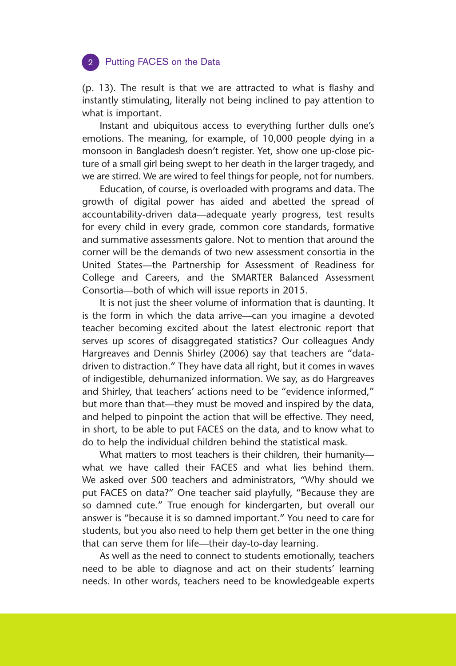(p. 13). The result is that we are attracted to what is flashy and instantly stimulating, literally not being inclined to pay attention to what is important.

Instant and ubiquitous access to everything further dulls one's emotions. The meaning, for example, of 10,000 people dying in a monsoon in Bangladesh doesn't register. Yet, show one up-close picture of a small girl being swept to her death in the larger tragedy, and we are stirred. We are wired to feel things for people, not for numbers.

Education, of course, is overloaded with programs and data. The growth of digital power has aided and abetted the spread of accountability-driven data—adequate yearly progress, test results for every child in every grade, common core standards, formative and summative assessments galore. Not to mention that around the corner will be the demands of two new assessment consortia in the United States—the Partnership for Assessment of Readiness for College and Careers, and the SMARTER Balanced Assessment Consortia—both of which will issue reports in 2015.

It is not just the sheer volume of information that is daunting. It is the form in which the data arrive—can you imagine a devoted teacher becoming excited about the latest electronic report that serves up scores of disaggregated statistics? Our colleagues Andy Hargreaves and Dennis Shirley (2006) say that teachers are "datadriven to distraction." They have data all right, but it comes in waves of indigestible, dehumanized information. We say, as do Hargreaves and Shirley, that teachers' actions need to be "evidence informed," but more than that—they must be moved and inspired by the data, and helped to pinpoint the action that will be effective. They need, in short, to be able to put FACES on the data, and to know what to do to help the individual children behind the statistical mask.

What matters to most teachers is their children, their humanity what we have called their FACES and what lies behind them. We asked over 500 teachers and administrators, "Why should we put FACES on data?" One teacher said playfully, "Because they are so damned cute." True enough for kindergarten, but overall our answer is "because it is so damned important." You need to care for students, but you also need to help them get better in the one thing that can serve them for life—their day-to-day learning.

As well as the need to connect to students emotionally, teachers need to be able to diagnose and act on their students' learning needs. In other words, teachers need to be knowledgeable experts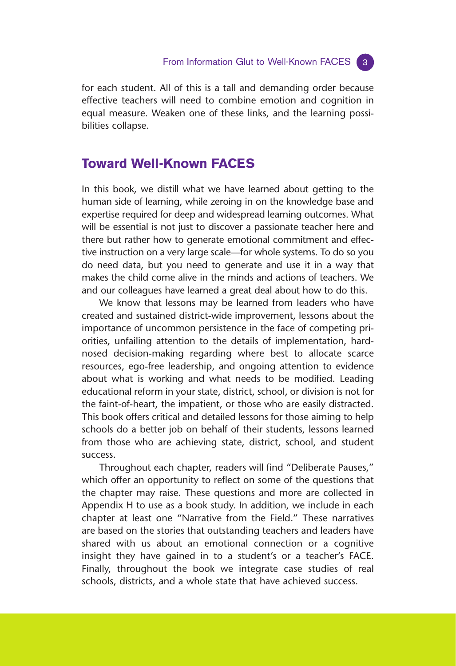for each student. All of this is a tall and demanding order because effective teachers will need to combine emotion and cognition in equal measure. Weaken one of these links, and the learning possibilities collapse.

# **Toward Well-Known FACES**

In this book, we distill what we have learned about getting to the human side of learning, while zeroing in on the knowledge base and expertise required for deep and widespread learning outcomes. What will be essential is not just to discover a passionate teacher here and there but rather how to generate emotional commitment and effective instruction on a very large scale—for whole systems. To do so you do need data, but you need to generate and use it in a way that makes the child come alive in the minds and actions of teachers. We and our colleagues have learned a great deal about how to do this.

We know that lessons may be learned from leaders who have created and sustained district-wide improvement, lessons about the importance of uncommon persistence in the face of competing priorities, unfailing attention to the details of implementation, hardnosed decision-making regarding where best to allocate scarce resources, ego-free leadership, and ongoing attention to evidence about what is working and what needs to be modified. Leading educational reform in your state, district, school, or division is not for the faint-of-heart, the impatient, or those who are easily distracted. This book offers critical and detailed lessons for those aiming to help schools do a better job on behalf of their students, lessons learned from those who are achieving state, district, school, and student success.

Throughout each chapter, readers will find "Deliberate Pauses," which offer an opportunity to reflect on some of the questions that the chapter may raise. These questions and more are collected in Appendix H to use as a book study. In addition, we include in each chapter at least one "Narrative from the Field." These narratives are based on the stories that outstanding teachers and leaders have shared with us about an emotional connection or a cognitive insight they have gained in to a student's or a teacher's FACE. Finally, throughout the book we integrate case studies of real schools, districts, and a whole state that have achieved success.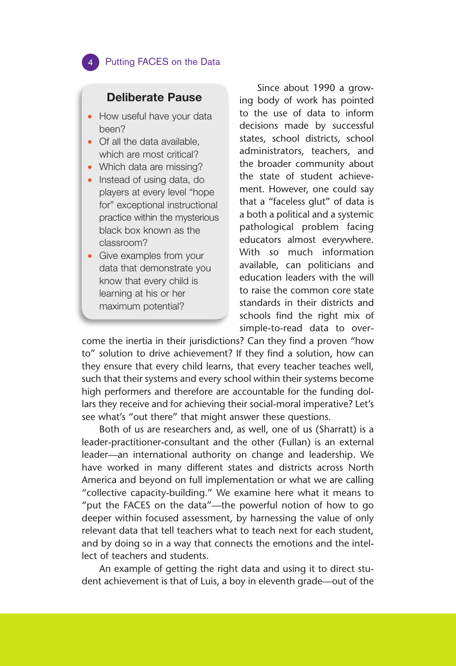# **Deliberate Pause**

- How useful have your data been?
- Of all the data available, which are most critical?
- Which data are missing?
- Instead of using data, do players at every level "hope for" exceptional instructional practice within the mysterious black box known as the classroom?
- Give examples from your data that demonstrate you know that every child is learning at his or her maximum potential?

Since about 1990 a growing body of work has pointed to the use of data to inform decisions made by successful states, school districts, school administrators, teachers, and the broader community about the state of student achievement. However, one could say that a "faceless glut" of data is a both a political and a systemic pathological problem facing educators almost everywhere. With so much information available, can politicians and education leaders with the will to raise the common core state standards in their districts and schools find the right mix of simple-to-read data to over-

come the inertia in their jurisdictions? Can they find a proven "how to" solution to drive achievement? If they find a solution, how can they ensure that every child learns, that every teacher teaches well, such that their systems and every school within their systems become high performers and therefore are accountable for the funding dollars they receive and for achieving their social-moral imperative? Let's see what's "out there" that might answer these questions.

Both of us are researchers and, as well, one of us (Sharratt) is a leader-practitioner-consultant and the other (Fullan) is an external leader—an international authority on change and leadership. We have worked in many different states and districts across North America and beyond on full implementation or what we are calling "collective capacity-building." We examine here what it means to "put the FACES on the data"—the powerful notion of how to go deeper within focused assessment, by harnessing the value of only relevant data that tell teachers what to teach next for each student, and by doing so in a way that connects the emotions and the intellect of teachers and students.

An example of getting the right data and using it to direct student achievement is that of Luis, a boy in eleventh grade—out of the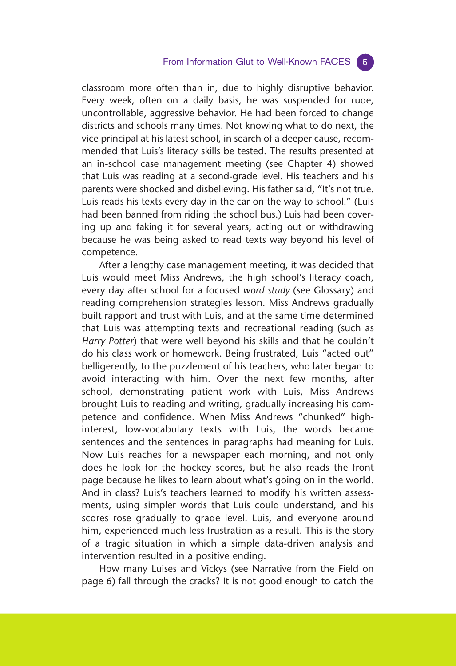#### From Information Glut to Well-Known FACES 5

classroom more often than in, due to highly disruptive behavior. Every week, often on a daily basis, he was suspended for rude, uncontrollable, aggressive behavior. He had been forced to change districts and schools many times. Not knowing what to do next, the vice principal at his latest school, in search of a deeper cause, recommended that Luis's literacy skills be tested. The results presented at an in-school case management meeting (see Chapter 4) showed that Luis was reading at a second-grade level. His teachers and his parents were shocked and disbelieving. His father said, "It's not true. Luis reads his texts every day in the car on the way to school." (Luis had been banned from riding the school bus.) Luis had been covering up and faking it for several years, acting out or withdrawing because he was being asked to read texts way beyond his level of competence.

After a lengthy case management meeting, it was decided that Luis would meet Miss Andrews, the high school's literacy coach, every day after school for a focused *word study* (see Glossary) and reading comprehension strategies lesson. Miss Andrews gradually built rapport and trust with Luis, and at the same time determined that Luis was attempting texts and recreational reading (such as *Harry Potter*) that were well beyond his skills and that he couldn't do his class work or homework. Being frustrated, Luis "acted out" belligerently, to the puzzlement of his teachers, who later began to avoid interacting with him. Over the next few months, after school, demonstrating patient work with Luis, Miss Andrews brought Luis to reading and writing, gradually increasing his competence and confidence. When Miss Andrews "chunked" highinterest, low-vocabulary texts with Luis, the words became sentences and the sentences in paragraphs had meaning for Luis. Now Luis reaches for a newspaper each morning, and not only does he look for the hockey scores, but he also reads the front page because he likes to learn about what's going on in the world. And in class? Luis's teachers learned to modify his written assessments, using simpler words that Luis could understand, and his scores rose gradually to grade level. Luis, and everyone around him, experienced much less frustration as a result. This is the story of a tragic situation in which a simple data-driven analysis and intervention resulted in a positive ending.

How many Luises and Vickys (see Narrative from the Field on page 6) fall through the cracks? It is not good enough to catch the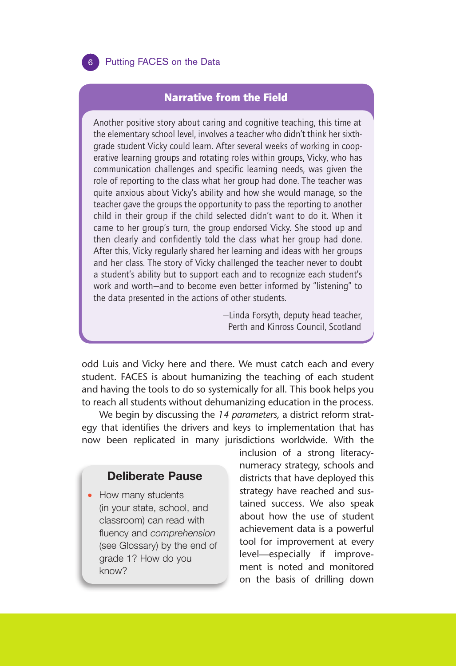# Narrative from the Field

Another positive story about caring and cognitive teaching, this time at the elementary school level, involves a teacher who didn't think her sixthgrade student Vicky could learn. After several weeks of working in cooperative learning groups and rotating roles within groups, Vicky, who has communication challenges and specific learning needs, was given the role of reporting to the class what her group had done. The teacher was quite anxious about Vicky's ability and how she would manage, so the teacher gave the groups the opportunity to pass the reporting to another child in their group if the child selected didn't want to do it. When it came to her group's turn, the group endorsed Vicky. She stood up and then clearly and confidently told the class what her group had done. After this, Vicky regularly shared her learning and ideas with her groups and her class. The story of Vicky challenged the teacher never to doubt a student's ability but to support each and to recognize each student's work and worth—and to become even better informed by "listening" to the data presented in the actions of other students.

> —Linda Forsyth, deputy head teacher, Perth and Kinross Council, Scotland

odd Luis and Vicky here and there. We must catch each and every student. FACES is about humanizing the teaching of each student and having the tools to do so systemically for all. This book helps you to reach all students without dehumanizing education in the process.

We begin by discussing the *14 parameters,* a district reform strategy that identifies the drivers and keys to implementation that has now been replicated in many jurisdictions worldwide. With the

## **Deliberate Pause**

• How many students (in your state, school, and classroom) can read with fluency and *comprehension* (see Glossary) by the end of grade 1? How do you know?

inclusion of a strong literacynumeracy strategy, schools and districts that have deployed this strategy have reached and sustained success. We also speak about how the use of student achievement data is a powerful tool for improvement at every level—especially if improvement is noted and monitored on the basis of drilling down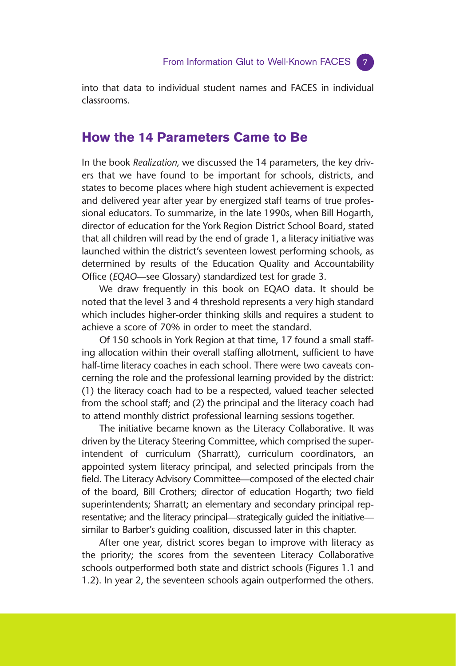into that data to individual student names and FACES in individual classrooms.

# **How the 14 Parameters Came to Be**

In the book *Realization,* we discussed the 14 parameters, the key drivers that we have found to be important for schools, districts, and states to become places where high student achievement is expected and delivered year after year by energized staff teams of true professional educators. To summarize, in the late 1990s, when Bill Hogarth, director of education for the York Region District School Board, stated that all children will read by the end of grade 1, a literacy initiative was launched within the district's seventeen lowest performing schools, as determined by results of the Education Quality and Accountability Office (*EQAO*—see Glossary) standardized test for grade 3.

We draw frequently in this book on EQAO data. It should be noted that the level 3 and 4 threshold represents a very high standard which includes higher-order thinking skills and requires a student to achieve a score of 70% in order to meet the standard.

Of 150 schools in York Region at that time, 17 found a small staffing allocation within their overall staffing allotment, sufficient to have half-time literacy coaches in each school. There were two caveats concerning the role and the professional learning provided by the district: (1) the literacy coach had to be a respected, valued teacher selected from the school staff; and (2) the principal and the literacy coach had to attend monthly district professional learning sessions together.

The initiative became known as the Literacy Collaborative. It was driven by the Literacy Steering Committee, which comprised the superintendent of curriculum (Sharratt), curriculum coordinators, an appointed system literacy principal, and selected principals from the field. The Literacy Advisory Committee—composed of the elected chair of the board, Bill Crothers; director of education Hogarth; two field superintendents; Sharratt; an elementary and secondary principal representative; and the literacy principal—strategically guided the initiative similar to Barber's guiding coalition, discussed later in this chapter.

After one year, district scores began to improve with literacy as the priority; the scores from the seventeen Literacy Collaborative schools outperformed both state and district schools (Figures 1.1 and 1.2). In year 2, the seventeen schools again outperformed the others.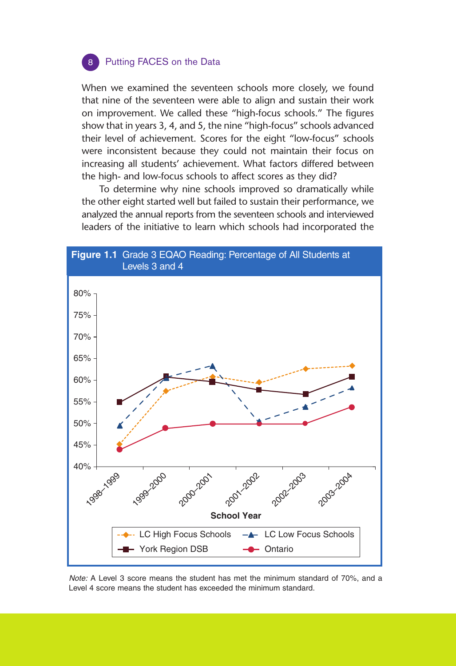When we examined the seventeen schools more closely, we found that nine of the seventeen were able to align and sustain their work on improvement. We called these "high-focus schools." The figures show that in years 3, 4, and 5, the nine "high-focus" schools advanced their level of achievement. Scores for the eight "low-focus" schools were inconsistent because they could not maintain their focus on increasing all students' achievement. What factors differed between the high- and low-focus schools to affect scores as they did?

To determine why nine schools improved so dramatically while the other eight started well but failed to sustain their performance, we analyzed the annual reports from the seventeen schools and interviewed leaders of the initiative to learn which schools had incorporated the



*Note:* A Level 3 score means the student has met the minimum standard of 70%, and a Level 4 score means the student has exceeded the minimum standard.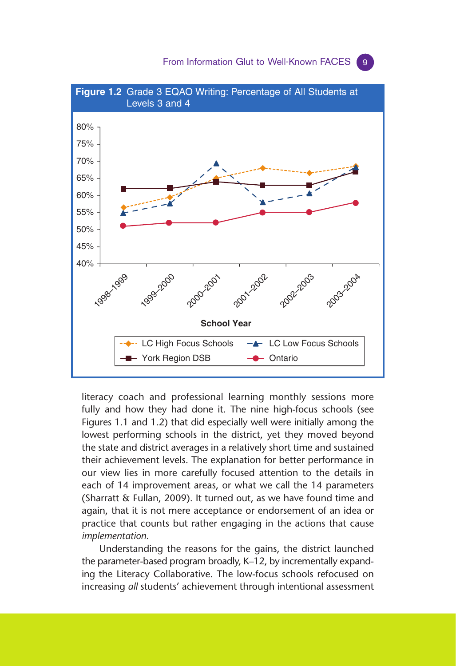

literacy coach and professional learning monthly sessions more fully and how they had done it. The nine high-focus schools (see Figures 1.1 and 1.2) that did especially well were initially among the lowest performing schools in the district, yet they moved beyond the state and district averages in a relatively short time and sustained their achievement levels. The explanation for better performance in our view lies in more carefully focused attention to the details in each of 14 improvement areas, or what we call the 14 parameters (Sharratt & Fullan, 2009). It turned out, as we have found time and again, that it is not mere acceptance or endorsement of an idea or practice that counts but rather engaging in the actions that cause *implementation.*

Understanding the reasons for the gains, the district launched the parameter-based program broadly, K–12, by incrementally expanding the Literacy Collaborative. The low-focus schools refocused on increasing *all* students' achievement through intentional assessment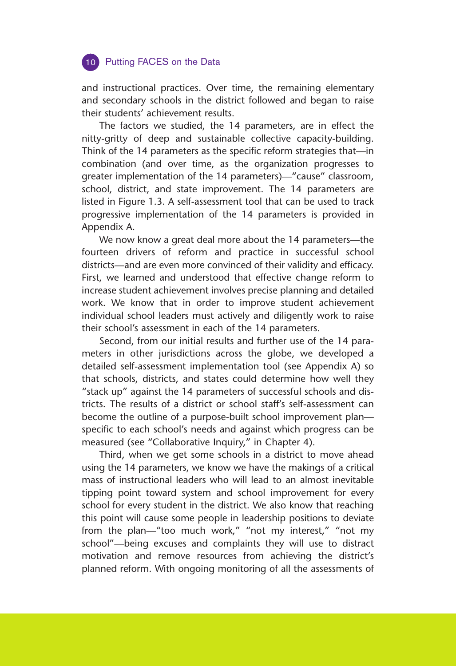and instructional practices. Over time, the remaining elementary and secondary schools in the district followed and began to raise their students' achievement results.

The factors we studied, the 14 parameters, are in effect the nitty-gritty of deep and sustainable collective capacity-building. Think of the 14 parameters as the specific reform strategies that—in combination (and over time, as the organization progresses to greater implementation of the 14 parameters)—"cause" classroom, school, district, and state improvement. The 14 parameters are listed in Figure 1.3. A self-assessment tool that can be used to track progressive implementation of the 14 parameters is provided in Appendix A.

We now know a great deal more about the 14 parameters—the fourteen drivers of reform and practice in successful school districts—and are even more convinced of their validity and efficacy. First, we learned and understood that effective change reform to increase student achievement involves precise planning and detailed work. We know that in order to improve student achievement individual school leaders must actively and diligently work to raise their school's assessment in each of the 14 parameters.

Second, from our initial results and further use of the 14 parameters in other jurisdictions across the globe, we developed a detailed self-assessment implementation tool (see Appendix A) so that schools, districts, and states could determine how well they "stack up" against the 14 parameters of successful schools and districts. The results of a district or school staff's self-assessment can become the outline of a purpose-built school improvement plan specific to each school's needs and against which progress can be measured (see "Collaborative Inquiry," in Chapter 4).

Third, when we get some schools in a district to move ahead using the 14 parameters, we know we have the makings of a critical mass of instructional leaders who will lead to an almost inevitable tipping point toward system and school improvement for every school for every student in the district. We also know that reaching this point will cause some people in leadership positions to deviate from the plan—"too much work," "not my interest," "not my school"—being excuses and complaints they will use to distract motivation and remove resources from achieving the district's planned reform. With ongoing monitoring of all the assessments of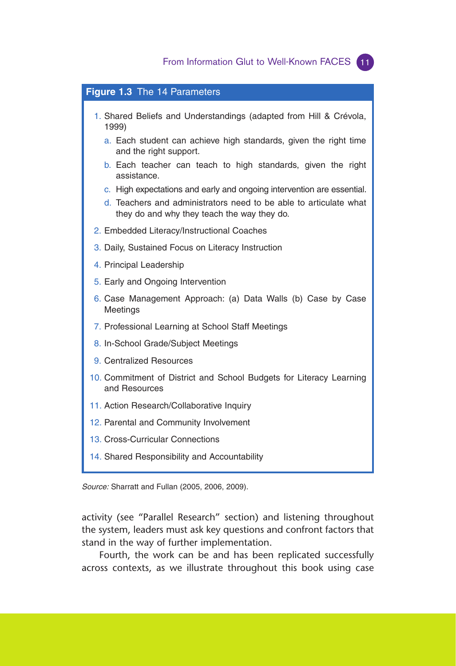| Figure 1.3 The 14 Parameters                                                                                     |
|------------------------------------------------------------------------------------------------------------------|
| 1. Shared Beliefs and Understandings (adapted from Hill & Crévola,<br>1999)                                      |
| a. Each student can achieve high standards, given the right time<br>and the right support.                       |
| b. Each teacher can teach to high standards, given the right<br>assistance.                                      |
| c. High expectations and early and ongoing intervention are essential.                                           |
| d. Teachers and administrators need to be able to articulate what<br>they do and why they teach the way they do. |
| 2. Embedded Literacy/Instructional Coaches                                                                       |
| 3. Daily, Sustained Focus on Literacy Instruction                                                                |
| 4. Principal Leadership                                                                                          |
| 5. Early and Ongoing Intervention                                                                                |
| 6. Case Management Approach: (a) Data Walls (b) Case by Case<br>Meetings                                         |
| 7. Professional Learning at School Staff Meetings                                                                |
| 8. In-School Grade/Subject Meetings                                                                              |
| 9. Centralized Resources                                                                                         |
| 10. Commitment of District and School Budgets for Literacy Learning<br>and Resources                             |
| 11. Action Research/Collaborative Inquiry                                                                        |
| 12. Parental and Community Involvement                                                                           |
| 13. Cross-Curricular Connections                                                                                 |
| 14. Shared Responsibility and Accountability                                                                     |

*Source:* Sharratt and Fullan (2005, 2006, 2009).

activity (see "Parallel Research" section) and listening throughout the system, leaders must ask key questions and confront factors that stand in the way of further implementation.

Fourth, the work can be and has been replicated successfully across contexts, as we illustrate throughout this book using case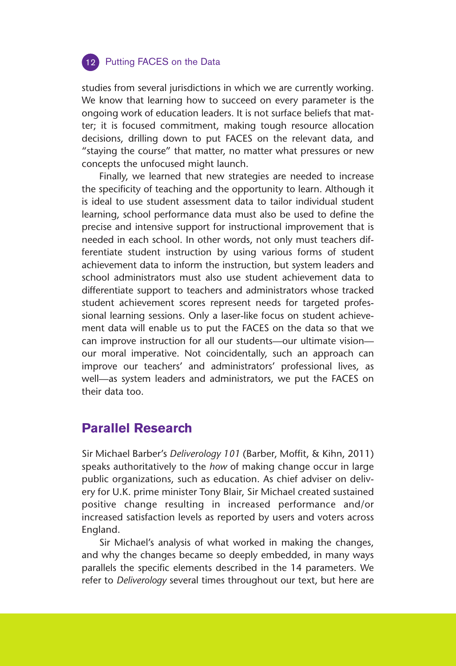studies from several jurisdictions in which we are currently working. We know that learning how to succeed on every parameter is the ongoing work of education leaders. It is not surface beliefs that matter; it is focused commitment, making tough resource allocation decisions, drilling down to put FACES on the relevant data, and "staying the course" that matter, no matter what pressures or new concepts the unfocused might launch.

Finally, we learned that new strategies are needed to increase the specificity of teaching and the opportunity to learn. Although it is ideal to use student assessment data to tailor individual student learning, school performance data must also be used to define the precise and intensive support for instructional improvement that is needed in each school. In other words, not only must teachers differentiate student instruction by using various forms of student achievement data to inform the instruction, but system leaders and school administrators must also use student achievement data to differentiate support to teachers and administrators whose tracked student achievement scores represent needs for targeted professional learning sessions. Only a laser-like focus on student achievement data will enable us to put the FACES on the data so that we can improve instruction for all our students—our ultimate vision our moral imperative. Not coincidentally, such an approach can improve our teachers' and administrators' professional lives, as well—as system leaders and administrators, we put the FACES on their data too.

# **Parallel Research**

Sir Michael Barber's *Deliverology 101* (Barber, Moffit, & Kihn, 2011) speaks authoritatively to the *how* of making change occur in large public organizations, such as education. As chief adviser on delivery for U.K. prime minister Tony Blair, Sir Michael created sustained positive change resulting in increased performance and/or increased satisfaction levels as reported by users and voters across England.

Sir Michael's analysis of what worked in making the changes, and why the changes became so deeply embedded, in many ways parallels the specific elements described in the 14 parameters. We refer to *Deliverology* several times throughout our text, but here are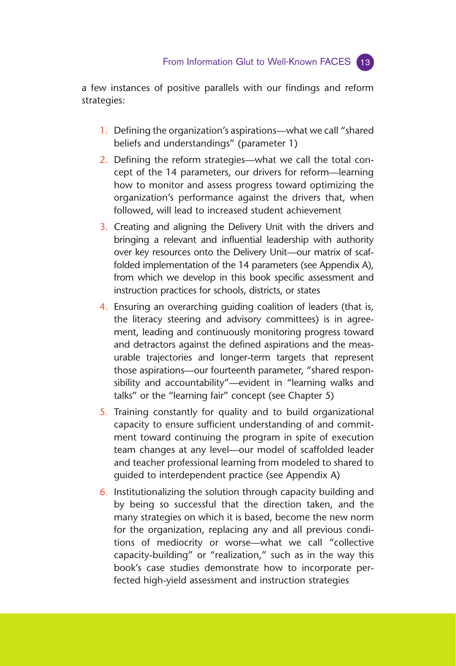a few instances of positive parallels with our findings and reform strategies:

- 1. Defining the organization's aspirations—what we call "shared beliefs and understandings" (parameter 1)
- 2. Defining the reform strategies—what we call the total concept of the 14 parameters, our drivers for reform—learning how to monitor and assess progress toward optimizing the organization's performance against the drivers that, when followed, will lead to increased student achievement
- 3. Creating and aligning the Delivery Unit with the drivers and bringing a relevant and influential leadership with authority over key resources onto the Delivery Unit—our matrix of scaffolded implementation of the 14 parameters (see Appendix A), from which we develop in this book specific assessment and instruction practices for schools, districts, or states
- 4. Ensuring an overarching guiding coalition of leaders (that is, the literacy steering and advisory committees) is in agreement, leading and continuously monitoring progress toward and detractors against the defined aspirations and the measurable trajectories and longer-term targets that represent those aspirations—our fourteenth parameter, "shared responsibility and accountability"—evident in "learning walks and talks" or the "learning fair" concept (see Chapter 5)
- 5. Training constantly for quality and to build organizational capacity to ensure sufficient understanding of and commitment toward continuing the program in spite of execution team changes at any level—our model of scaffolded leader and teacher professional learning from modeled to shared to guided to interdependent practice (see Appendix A)
- 6. Institutionalizing the solution through capacity building and by being so successful that the direction taken, and the many strategies on which it is based, become the new norm for the organization, replacing any and all previous conditions of mediocrity or worse—what we call "collective capacity-building" or "realization," such as in the way this book's case studies demonstrate how to incorporate perfected high-yield assessment and instruction strategies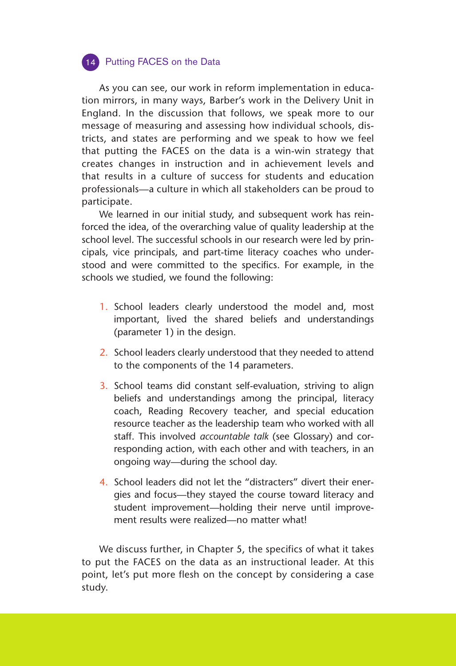As you can see, our work in reform implementation in education mirrors, in many ways, Barber's work in the Delivery Unit in England. In the discussion that follows, we speak more to our message of measuring and assessing how individual schools, districts, and states are performing and we speak to how we feel that putting the FACES on the data is a win-win strategy that creates changes in instruction and in achievement levels and that results in a culture of success for students and education professionals—a culture in which all stakeholders can be proud to participate.

We learned in our initial study, and subsequent work has reinforced the idea, of the overarching value of quality leadership at the school level. The successful schools in our research were led by principals, vice principals, and part-time literacy coaches who understood and were committed to the specifics. For example, in the schools we studied, we found the following:

- 1. School leaders clearly understood the model and, most important, lived the shared beliefs and understandings (parameter 1) in the design.
- 2. School leaders clearly understood that they needed to attend to the components of the 14 parameters.
- 3. School teams did constant self-evaluation, striving to align beliefs and understandings among the principal, literacy coach, Reading Recovery teacher, and special education resource teacher as the leadership team who worked with all staff. This involved *accountable talk* (see Glossary) and corresponding action, with each other and with teachers, in an ongoing way—during the school day.
- 4. School leaders did not let the "distracters" divert their energies and focus—they stayed the course toward literacy and student improvement—holding their nerve until improvement results were realized—no matter what!

We discuss further, in Chapter 5, the specifics of what it takes to put the FACES on the data as an instructional leader. At this point, let's put more flesh on the concept by considering a case study.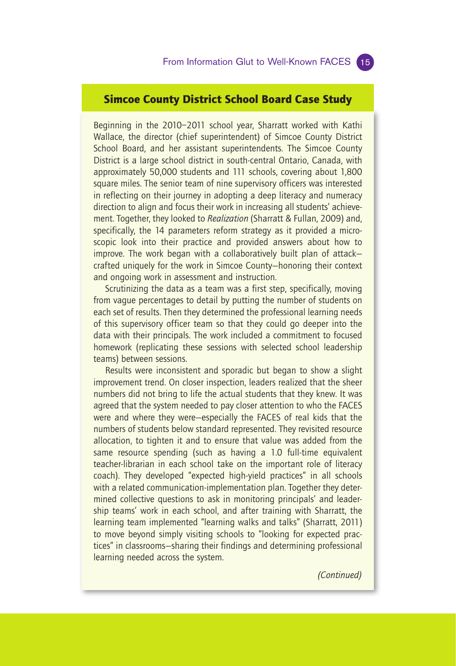# Simcoe County District School Board Case Study

Beginning in the 2010–2011 school year, Sharratt worked with Kathi Wallace, the director (chief superintendent) of Simcoe County District School Board, and her assistant superintendents. The Simcoe County District is a large school district in south-central Ontario, Canada, with approximately 50,000 students and 111 schools, covering about 1,800 square miles. The senior team of nine supervisory officers was interested in reflecting on their journey in adopting a deep literacy and numeracy direction to align and focus their work in increasing all students' achievement. Together, they looked to *Realization* (Sharratt & Fullan, 2009) and, specifically, the 14 parameters reform strategy as it provided a microscopic look into their practice and provided answers about how to improve. The work began with a collaboratively built plan of attack crafted uniquely for the work in Simcoe County—honoring their context and ongoing work in assessment and instruction.

Scrutinizing the data as a team was a first step, specifically, moving from vague percentages to detail by putting the number of students on each set of results. Then they determined the professional learning needs of this supervisory officer team so that they could go deeper into the data with their principals. The work included a commitment to focused homework (replicating these sessions with selected school leadership teams) between sessions.

Results were inconsistent and sporadic but began to show a slight improvement trend. On closer inspection, leaders realized that the sheer numbers did not bring to life the actual students that they knew. It was agreed that the system needed to pay closer attention to who the FACES were and where they were—especially the FACES of real kids that the numbers of students below standard represented. They revisited resource allocation, to tighten it and to ensure that value was added from the same resource spending (such as having a 1.0 full-time equivalent teacher-librarian in each school take on the important role of literacy coach). They developed "expected high-yield practices" in all schools with a related communication-implementation plan. Together they determined collective questions to ask in monitoring principals' and leadership teams' work in each school, and after training with Sharratt, the learning team implemented "learning walks and talks" (Sharratt, 2011) to move beyond simply visiting schools to "looking for expected practices" in classrooms—sharing their findings and determining professional learning needed across the system.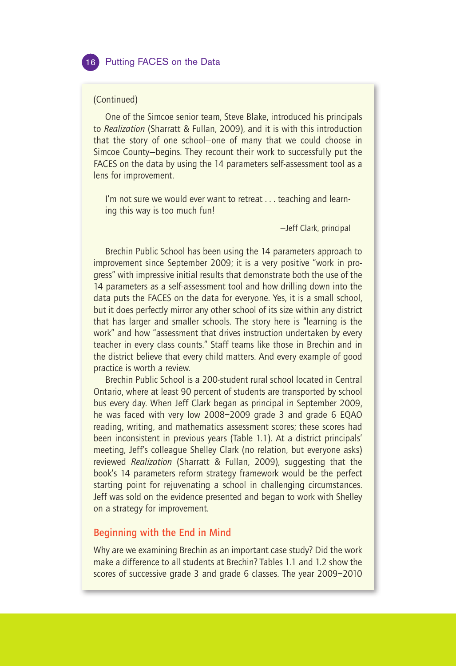#### (Continued)

One of the Simcoe senior team, Steve Blake, introduced his principals to *Realization* (Sharratt & Fullan, 2009), and it is with this introduction that the story of one school—one of many that we could choose in Simcoe County—begins. They recount their work to successfully put the FACES on the data by using the 14 parameters self-assessment tool as a lens for improvement.

I'm not sure we would ever want to retreat . . . teaching and learning this way is too much fun!

—Jeff Clark, principal

Brechin Public School has been using the 14 parameters approach to improvement since September 2009; it is a very positive "work in progress" with impressive initial results that demonstrate both the use of the 14 parameters as a self-assessment tool and how drilling down into the data puts the FACES on the data for everyone. Yes, it is a small school, but it does perfectly mirror any other school of its size within any district that has larger and smaller schools. The story here is "learning is the work" and how "assessment that drives instruction undertaken by every teacher in every class counts." Staff teams like those in Brechin and in the district believe that every child matters. And every example of good practice is worth a review.

Brechin Public School is a 200-student rural school located in Central Ontario, where at least 90 percent of students are transported by school bus every day. When Jeff Clark began as principal in September 2009, he was faced with very low 2008–2009 grade 3 and grade 6 EQAO reading, writing, and mathematics assessment scores; these scores had been inconsistent in previous years (Table 1.1). At a district principals' meeting, Jeff's colleague Shelley Clark (no relation, but everyone asks) reviewed *Realization* (Sharratt & Fullan, 2009), suggesting that the book's 14 parameters reform strategy framework would be the perfect starting point for rejuvenating a school in challenging circumstances. Jeff was sold on the evidence presented and began to work with Shelley on a strategy for improvement.

## Beginning with the End in Mind

Why are we examining Brechin as an important case study? Did the work make a difference to all students at Brechin? Tables 1.1 and 1.2 show the scores of successive grade 3 and grade 6 classes. The year 2009–2010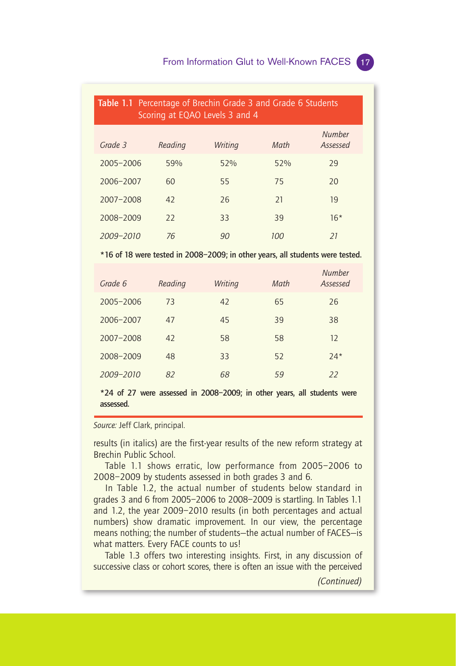| Table 1.1 Percentage of Brechin Grade 3 and Grade 6 Students<br>Scoring at EQAO Levels 3 and 4 |         |         |      |                           |  |  |
|------------------------------------------------------------------------------------------------|---------|---------|------|---------------------------|--|--|
| Grade 3                                                                                        | Reading | Writing | Math | <b>Number</b><br>Assessed |  |  |
| 2005-2006                                                                                      | 59%     | 52%     | 52%  | 29                        |  |  |
| 2006-2007                                                                                      | 60      | 55      | 75   | 20                        |  |  |
| 2007-2008                                                                                      | 42      | 26      | 21   | 19                        |  |  |
| 2008-2009                                                                                      | 22      | 33      | 39   | $16*$                     |  |  |
| 2009-2010                                                                                      | 76      | 90      | 100  | 21                        |  |  |
| *16 of 18 were tested in 2008-2009; in other years, all students were tested.                  |         |         |      |                           |  |  |
| Grade 6                                                                                        | Reading | Writing | Math | <b>Number</b><br>Assessed |  |  |
| 2005-2006                                                                                      | 73      | 42      | 65   | 26                        |  |  |
| 2006-2007                                                                                      | 47      | 45      | 39   | 38                        |  |  |
| 2007-2008                                                                                      | 42      | 58      | 58   | 12                        |  |  |
| 2008-2009                                                                                      | 48      | 33      | 52   | $24*$                     |  |  |
| 2009-2010                                                                                      | 82      | 68      | 59   | 22                        |  |  |
| *24 of 27 were assessed in 2008-2009; in other years, all students were<br>assessed.           |         |         |      |                           |  |  |

#### *Source:* Jeff Clark, principal.

results (in italics) are the first-year results of the new reform strategy at Brechin Public School.

Table 1.1 shows erratic, low performance from 2005–2006 to 2008–2009 by students assessed in both grades 3 and 6.

In Table 1.2, the actual number of students below standard in grades 3 and 6 from 2005–2006 to 2008–2009 is startling. In Tables 1.1 and 1.2, the year 2009–2010 results (in both percentages and actual numbers) show dramatic improvement. In our view, the percentage means nothing; the number of students—the actual number of FACES—is what matters. Every FACE counts to us!

Table 1.3 offers two interesting insights. First, in any discussion of successive class or cohort scores, there is often an issue with the perceived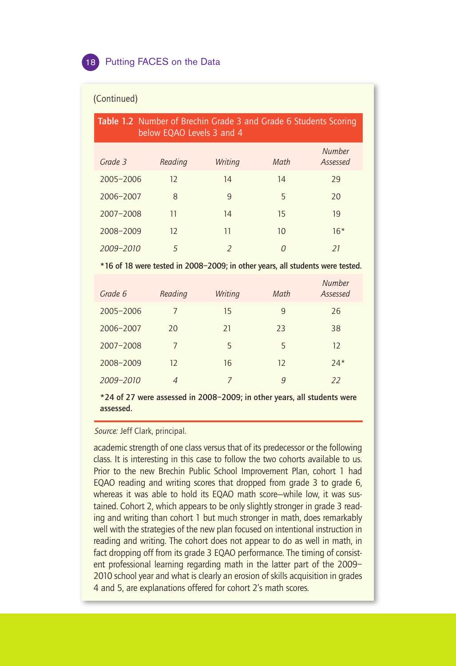|  | (Continued) |
|--|-------------|
|  |             |

| Table 1.2 Number of Brechin Grade 3 and Grade 6 Students Scoring<br>below EQAO Levels 3 and 4 |                |                |                |                           |  |
|-----------------------------------------------------------------------------------------------|----------------|----------------|----------------|---------------------------|--|
| Grade 3                                                                                       | Reading        | Writing        | Math           | Number<br>Assessed        |  |
| 2005-2006                                                                                     | 12             | 14             | 14             | 29                        |  |
| 2006-2007                                                                                     | 8              | 9              | 5              | 20                        |  |
| 2007-2008                                                                                     | 11             | 14             | 15             | 19                        |  |
| 2008-2009                                                                                     | 12             | 11             | 10             | $16*$                     |  |
| 2009-2010                                                                                     | 5              | $\overline{2}$ | $\overline{O}$ | 21                        |  |
| *16 of 18 were tested in 2008-2009; in other years, all students were tested.                 |                |                |                |                           |  |
| Grade 6                                                                                       | Reading        | Writing        | Math           | <b>Number</b><br>Assessed |  |
| 2005-2006                                                                                     | $\overline{7}$ | 15             | 9              | 26                        |  |
| 2006-2007                                                                                     | 20             | 21             | 23             | 38                        |  |
| 2007-2008                                                                                     | $\overline{7}$ | 5              | 5              | 12                        |  |
| 2008-2009                                                                                     | 12             | 16             | 12             | $74*$                     |  |
| 2009-2010                                                                                     | $\overline{4}$ | 7              | 9              | 22                        |  |

\*24 of 27 were assessed in 2008–2009; in other years, all students were assessed.

*Source:* Jeff Clark, principal.

academic strength of one class versus that of its predecessor or the following class. It is interesting in this case to follow the two cohorts available to us. Prior to the new Brechin Public School Improvement Plan, cohort 1 had EQAO reading and writing scores that dropped from grade 3 to grade 6, whereas it was able to hold its EQAO math score—while low, it was sustained. Cohort 2, which appears to be only slightly stronger in grade 3 reading and writing than cohort 1 but much stronger in math, does remarkably well with the strategies of the new plan focused on intentional instruction in reading and writing. The cohort does not appear to do as well in math, in fact dropping off from its grade 3 EQAO performance. The timing of consistent professional learning regarding math in the latter part of the 2009– 2010 school year and what is clearly an erosion of skills acquisition in grades 4 and 5, are explanations offered for cohort 2's math scores.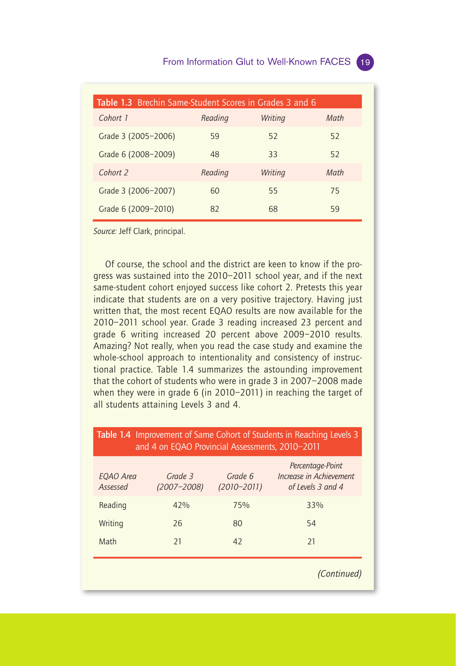| <b>Table 1.3</b> Brechin Same-Student Scores in Grades 3 and 6 |         |         |      |  |  |
|----------------------------------------------------------------|---------|---------|------|--|--|
| Cohort 1                                                       | Reading | Writing | Math |  |  |
| Grade 3 (2005-2006)                                            | 59      | 52      | 52   |  |  |
| Grade 6 (2008-2009)                                            | 48      | 33      | 52   |  |  |
| Cohort 2                                                       | Reading | Writing | Math |  |  |
| Grade 3 (2006-2007)                                            | 60      | 55      | 75   |  |  |
| Grade 6 (2009-2010)                                            | 82      | 68      | 59   |  |  |

*Source:* Jeff Clark, principal.

Of course, the school and the district are keen to know if the progress was sustained into the 2010–2011 school year, and if the next same-student cohort enjoyed success like cohort 2. Pretests this year indicate that students are on a very positive trajectory. Having just written that, the most recent EQAO results are now available for the 2010–2011 school year. Grade 3 reading increased 23 percent and grade 6 writing increased 20 percent above 2009–2010 results. Amazing? Not really, when you read the case study and examine the whole-school approach to intentionality and consistency of instructional practice. Table 1.4 summarizes the astounding improvement that the cohort of students who were in grade 3 in 2007–2008 made when they were in grade 6 (in 2010–2011) in reaching the target of all students attaining Levels 3 and 4.

| EOAO Area<br>Assessed | Grade 3<br>$(2007 - 2008)$ | Grade 6<br>$(2010 - 2011)$ | Percentage-Point<br>Increase in Achievement<br>of Levels 3 and 4 |
|-----------------------|----------------------------|----------------------------|------------------------------------------------------------------|
| Reading               | 42%                        | 75%                        | 33%                                                              |
| Writing               | 26                         | 80                         | 54                                                               |
| Math                  | 21                         | 42                         | 21                                                               |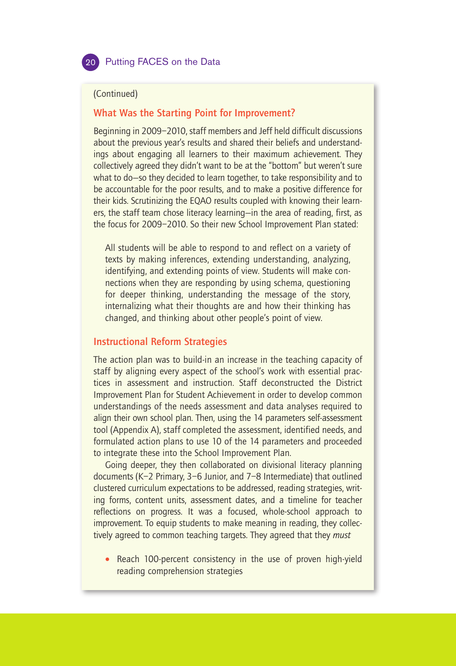#### (Continued)

#### What Was the Starting Point for Improvement?

Beginning in 2009–2010, staff members and Jeff held difficult discussions about the previous year's results and shared their beliefs and understandings about engaging all learners to their maximum achievement. They collectively agreed they didn't want to be at the "bottom" but weren't sure what to do—so they decided to learn together, to take responsibility and to be accountable for the poor results, and to make a positive difference for their kids. Scrutinizing the EQAO results coupled with knowing their learners, the staff team chose literacy learning—in the area of reading, first, as the focus for 2009–2010. So their new School Improvement Plan stated:

All students will be able to respond to and reflect on a variety of texts by making inferences, extending understanding, analyzing, identifying, and extending points of view. Students will make connections when they are responding by using schema, questioning for deeper thinking, understanding the message of the story, internalizing what their thoughts are and how their thinking has changed, and thinking about other people's point of view.

#### Instructional Reform Strategies

The action plan was to build-in an increase in the teaching capacity of staff by aligning every aspect of the school's work with essential practices in assessment and instruction. Staff deconstructed the District Improvement Plan for Student Achievement in order to develop common understandings of the needs assessment and data analyses required to align their own school plan. Then, using the 14 parameters self-assessment tool (Appendix A), staff completed the assessment, identified needs, and formulated action plans to use 10 of the 14 parameters and proceeded to integrate these into the School Improvement Plan.

Going deeper, they then collaborated on divisional literacy planning documents (K–2 Primary, 3–6 Junior, and 7–8 Intermediate) that outlined clustered curriculum expectations to be addressed, reading strategies, writing forms, content units, assessment dates, and a timeline for teacher reflections on progress. It was a focused, whole-school approach to improvement. To equip students to make meaning in reading, they collectively agreed to common teaching targets. They agreed that they *must*

• Reach 100-percent consistency in the use of proven high-yield reading comprehension strategies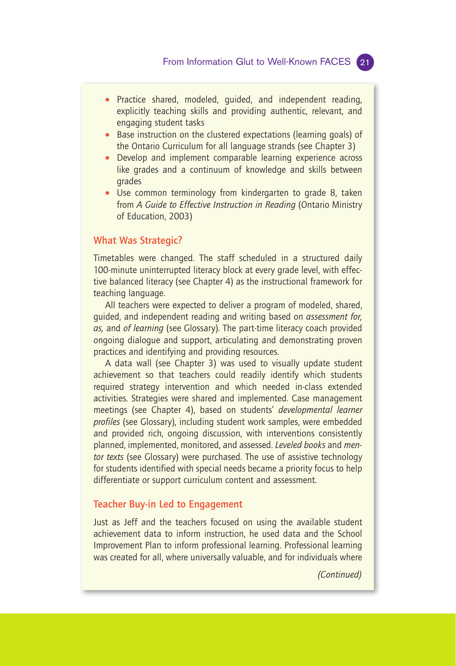- Practice shared, modeled, quided, and independent reading, explicitly teaching skills and providing authentic, relevant, and engaging student tasks
- Base instruction on the clustered expectations (learning goals) of the Ontario Curriculum for all language strands (see Chapter 3)
- Develop and implement comparable learning experience across like grades and a continuum of knowledge and skills between grades
- Use common terminology from kindergarten to grade 8, taken from *A Guide to Effective Instruction in Reading* (Ontario Ministry of Education, 2003)

#### What Was Strategic?

Timetables were changed. The staff scheduled in a structured daily 100-minute uninterrupted literacy block at every grade level, with effective balanced literacy (see Chapter 4) as the instructional framework for teaching language.

All teachers were expected to deliver a program of modeled, shared, guided, and independent reading and writing based on *assessment for, as,* and *of learning* (see Glossary). The part-time literacy coach provided ongoing dialogue and support, articulating and demonstrating proven practices and identifying and providing resources.

A data wall (see Chapter 3) was used to visually update student achievement so that teachers could readily identify which students required strategy intervention and which needed in-class extended activities. Strategies were shared and implemented. Case management meetings (see Chapter 4), based on students' *developmental learner profiles* (see Glossary), including student work samples, were embedded and provided rich, ongoing discussion, with interventions consistently planned, implemented, monitored, and assessed. *Leveled books* and *mentor texts* (see Glossary) were purchased. The use of assistive technology for students identified with special needs became a priority focus to help differentiate or support curriculum content and assessment.

#### Teacher Buy-in Led to Engagement

Just as Jeff and the teachers focused on using the available student achievement data to inform instruction, he used data and the School Improvement Plan to inform professional learning. Professional learning was created for all, where universally valuable, and for individuals where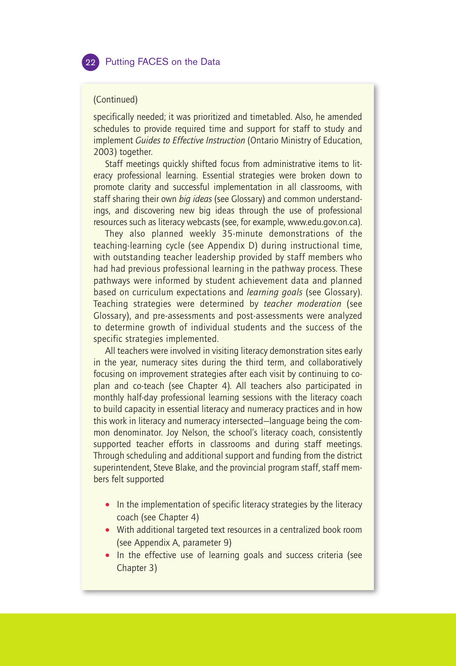#### (Continued)

specifically needed; it was prioritized and timetabled. Also, he amended schedules to provide required time and support for staff to study and implement *Guides to Effective Instruction* (Ontario Ministry of Education, 2003) together.

Staff meetings quickly shifted focus from administrative items to literacy professional learning. Essential strategies were broken down to promote clarity and successful implementation in all classrooms, with staff sharing their own *big ideas* (see Glossary) and common understandings, and discovering new big ideas through the use of professional resources such as literacy webcasts (see, for example, www.edu.gov.on.ca).

They also planned weekly 35-minute demonstrations of the teaching-learning cycle (see Appendix D) during instructional time, with outstanding teacher leadership provided by staff members who had had previous professional learning in the pathway process. These pathways were informed by student achievement data and planned based on curriculum expectations and *learning goals* (see Glossary). Teaching strategies were determined by *teacher moderation* (see Glossary), and pre-assessments and post-assessments were analyzed to determine growth of individual students and the success of the specific strategies implemented.

All teachers were involved in visiting literacy demonstration sites early in the year, numeracy sites during the third term, and collaboratively focusing on improvement strategies after each visit by continuing to coplan and co-teach (see Chapter 4). All teachers also participated in monthly half-day professional learning sessions with the literacy coach to build capacity in essential literacy and numeracy practices and in how this work in literacy and numeracy intersected—language being the common denominator. Joy Nelson, the school's literacy coach, consistently supported teacher efforts in classrooms and during staff meetings. Through scheduling and additional support and funding from the district superintendent, Steve Blake, and the provincial program staff, staff members felt supported

- $\bullet$  In the implementation of specific literacy strategies by the literacy coach (see Chapter 4)
- With additional targeted text resources in a centralized book room (see Appendix A, parameter 9)
- In the effective use of learning goals and success criteria (see Chapter 3)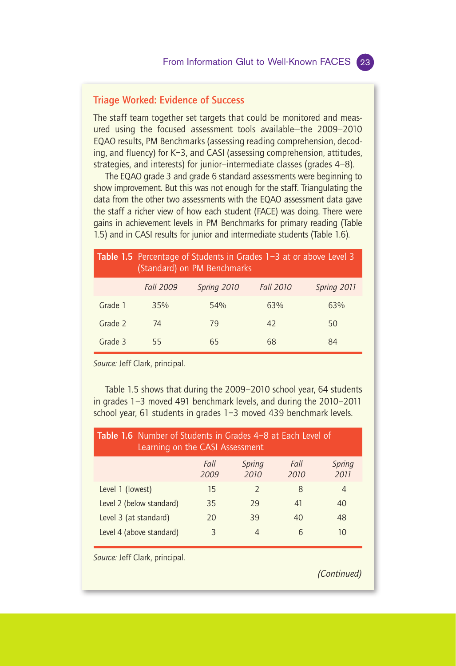## Triage Worked: Evidence of Success

The staff team together set targets that could be monitored and measured using the focused assessment tools available—the 2009–2010 EQAO results, PM Benchmarks (assessing reading comprehension, decoding, and fluency) for K–3, and CASI (assessing comprehension, attitudes, strategies, and interests) for junior–intermediate classes (grades 4–8).

The EQAO grade 3 and grade 6 standard assessments were beginning to show improvement. But this was not enough for the staff. Triangulating the data from the other two assessments with the EQAO assessment data gave the staff a richer view of how each student (FACE) was doing. There were gains in achievement levels in PM Benchmarks for primary reading (Table 1.5) and in CASI results for junior and intermediate students (Table 1.6).

| Table 1.5 Percentage of Students in Grades $1-3$ at or above Level 3<br>(Standard) on PM Benchmarks |           |             |           |             |  |  |
|-----------------------------------------------------------------------------------------------------|-----------|-------------|-----------|-------------|--|--|
|                                                                                                     | Fall 2009 | Spring 2010 | Fall 2010 | Spring 2011 |  |  |
| Grade 1                                                                                             | 35%       | 54%         | 63%       | 63%         |  |  |
| Grade 2                                                                                             | 74        | 79          | 42        | 50          |  |  |
| Grade 3                                                                                             | 55        | 65          | 68        | 84          |  |  |

*Source:* Jeff Clark, principal.

Table 1.5 shows that during the 2009–2010 school year, 64 students in grades 1–3 moved 491 benchmark levels, and during the 2010–2011 school year, 61 students in grades 1–3 moved 439 benchmark levels.

| <b>Table 1.6</b> Number of Students in Grades 4-8 at Each Level of<br>Learning on the CASI Assessment |              |                |              |                |  |  |
|-------------------------------------------------------------------------------------------------------|--------------|----------------|--------------|----------------|--|--|
|                                                                                                       | Fall<br>2009 | Spring<br>2010 | Fall<br>2010 | Spring<br>2011 |  |  |
| Level 1 (lowest)                                                                                      | 15           | $\mathcal{L}$  | 8            | $\overline{4}$ |  |  |
| Level 2 (below standard)                                                                              | 35           | 29             | 41           | 40             |  |  |
| Level 3 (at standard)                                                                                 | 20           | 39             | 40           | 48             |  |  |
| Level 4 (above standard)<br>3<br>6<br>10<br>4                                                         |              |                |              |                |  |  |
| Source: Jeff Clark, principal.                                                                        |              |                |              |                |  |  |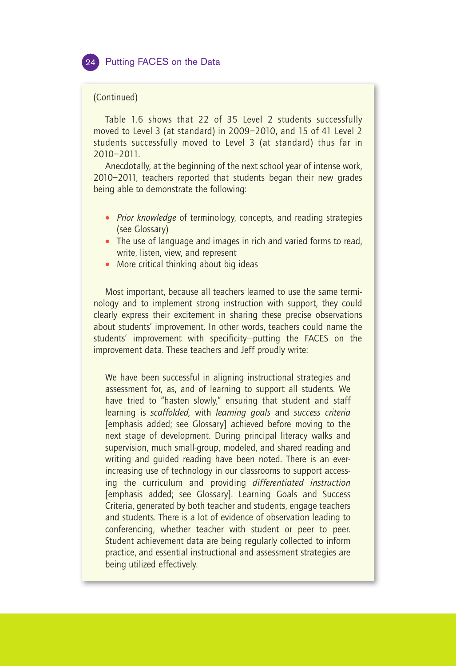#### (Continued)

Table 1.6 shows that 22 of 35 Level 2 students successfully moved to Level 3 (at standard) in 2009–2010, and 15 of 41 Level 2 students successfully moved to Level 3 (at standard) thus far in 2010–2011.

Anecdotally, at the beginning of the next school year of intense work, 2010–2011, teachers reported that students began their new grades being able to demonstrate the following:

- *Prior knowledge* of terminology, concepts, and reading strategies (see Glossary)
- The use of language and images in rich and varied forms to read, write, listen, view, and represent
- More critical thinking about big ideas

Most important, because all teachers learned to use the same terminology and to implement strong instruction with support, they could clearly express their excitement in sharing these precise observations about students' improvement. In other words, teachers could name the students' improvement with specificity—putting the FACES on the improvement data. These teachers and Jeff proudly write:

We have been successful in aligning instructional strategies and assessment for, as, and of learning to support all students. We have tried to "hasten slowly," ensuring that student and staff learning is *scaffolded,* with *learning goals* and *success criteria* [emphasis added; see Glossary] achieved before moving to the next stage of development. During principal literacy walks and supervision, much small-group, modeled, and shared reading and writing and guided reading have been noted. There is an everincreasing use of technology in our classrooms to support accessing the curriculum and providing *differentiated instruction* [emphasis added; see Glossary]. Learning Goals and Success Criteria, generated by both teacher and students, engage teachers and students. There is a lot of evidence of observation leading to conferencing, whether teacher with student or peer to peer. Student achievement data are being regularly collected to inform practice, and essential instructional and assessment strategies are being utilized effectively.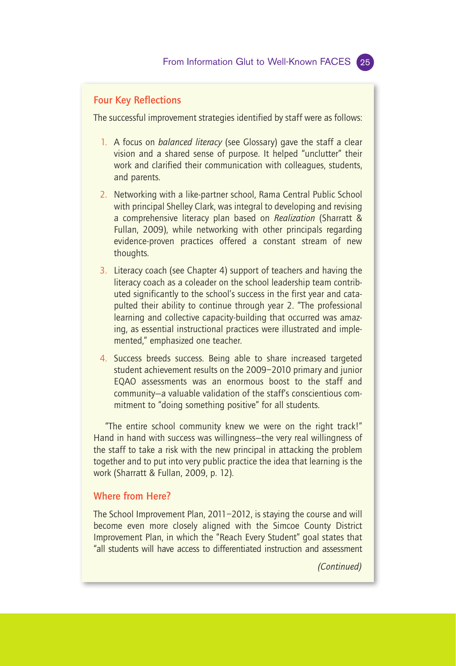#### Four Key Reflections

The successful improvement strategies identified by staff were as follows:

- 1. A focus on *balanced literacy* (see Glossary) gave the staff a clear vision and a shared sense of purpose. It helped "unclutter" their work and clarified their communication with colleagues, students, and parents.
- 2. Networking with a like-partner school, Rama Central Public School with principal Shelley Clark, was integral to developing and revising a comprehensive literacy plan based on *Realization* (Sharratt & Fullan, 2009), while networking with other principals regarding evidence-proven practices offered a constant stream of new thoughts.
- 3. Literacy coach (see Chapter 4) support of teachers and having the literacy coach as a coleader on the school leadership team contributed significantly to the school's success in the first year and catapulted their ability to continue through year 2. "The professional learning and collective capacity-building that occurred was amazing, as essential instructional practices were illustrated and implemented," emphasized one teacher.
- 4. Success breeds success. Being able to share increased targeted student achievement results on the 2009–2010 primary and junior EQAO assessments was an enormous boost to the staff and community—a valuable validation of the staff's conscientious commitment to "doing something positive" for all students.

"The entire school community knew we were on the right track!" Hand in hand with success was willingness—the very real willingness of the staff to take a risk with the new principal in attacking the problem together and to put into very public practice the idea that learning is the work (Sharratt & Fullan, 2009, p. 12).

# Where from Here?

The School Improvement Plan, 2011–2012, is staying the course and will become even more closely aligned with the Simcoe County District Improvement Plan, in which the "Reach Every Student" goal states that "all students will have access to differentiated instruction and assessment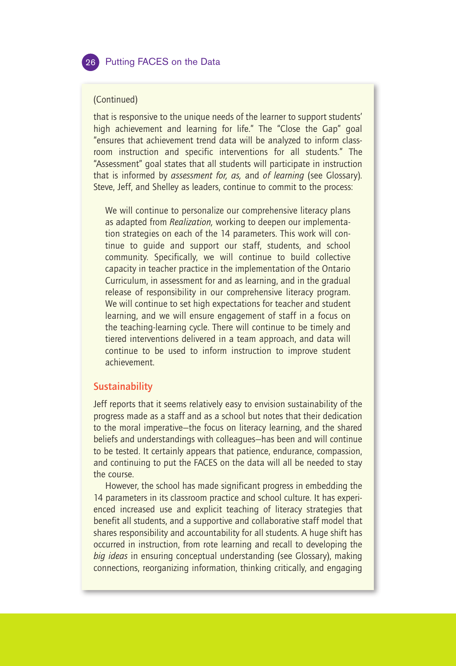#### (Continued)

that is responsive to the unique needs of the learner to support students' high achievement and learning for life." The "Close the Gap" goal "ensures that achievement trend data will be analyzed to inform classroom instruction and specific interventions for all students." The "Assessment" goal states that all students will participate in instruction that is informed by *assessment for, as,* and *of learning* (see Glossary). Steve, Jeff, and Shelley as leaders, continue to commit to the process:

We will continue to personalize our comprehensive literacy plans as adapted from *Realization,* working to deepen our implementation strategies on each of the 14 parameters. This work will continue to guide and support our staff, students, and school community. Specifically, we will continue to build collective capacity in teacher practice in the implementation of the Ontario Curriculum, in assessment for and as learning, and in the gradual release of responsibility in our comprehensive literacy program. We will continue to set high expectations for teacher and student learning, and we will ensure engagement of staff in a focus on the teaching-learning cycle. There will continue to be timely and tiered interventions delivered in a team approach, and data will continue to be used to inform instruction to improve student achievement.

#### **Sustainability**

Jeff reports that it seems relatively easy to envision sustainability of the progress made as a staff and as a school but notes that their dedication to the moral imperative—the focus on literacy learning, and the shared beliefs and understandings with colleagues—has been and will continue to be tested. It certainly appears that patience, endurance, compassion, and continuing to put the FACES on the data will all be needed to stay the course.

However, the school has made significant progress in embedding the 14 parameters in its classroom practice and school culture. It has experienced increased use and explicit teaching of literacy strategies that benefit all students, and a supportive and collaborative staff model that shares responsibility and accountability for all students. A huge shift has occurred in instruction, from rote learning and recall to developing the *big ideas* in ensuring conceptual understanding (see Glossary), making connections, reorganizing information, thinking critically, and engaging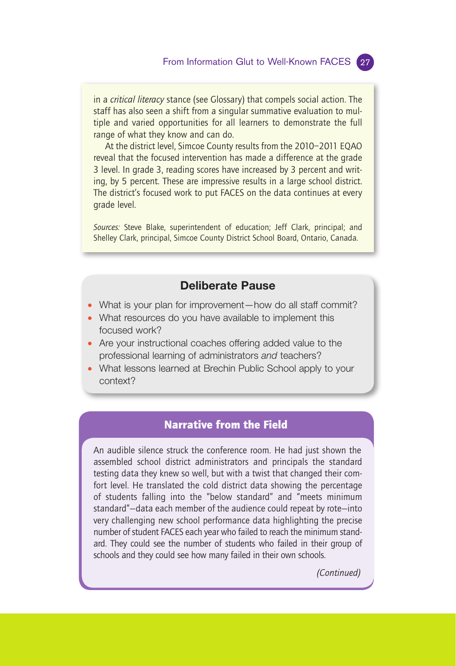in a *critical literacy* stance (see Glossary) that compels social action. The staff has also seen a shift from a singular summative evaluation to multiple and varied opportunities for all learners to demonstrate the full range of what they know and can do.

At the district level, Simcoe County results from the 2010–2011 EQAO reveal that the focused intervention has made a difference at the grade 3 level. In grade 3, reading scores have increased by 3 percent and writing, by 5 percent. These are impressive results in a large school district. The district's focused work to put FACES on the data continues at every grade level.

*Sources:* Steve Blake, superintendent of education; Jeff Clark, principal; and Shelley Clark, principal, Simcoe County District School Board, Ontario, Canada.

## **Deliberate Pause**

- What is your plan for improvement—how do all staff commit?
- What resources do you have available to implement this focused work?
- Are your instructional coaches offering added value to the professional learning of administrators *and* teachers?
- What lessons learned at Brechin Public School apply to your context?

# Narrative from the Field

An audible silence struck the conference room. He had just shown the assembled school district administrators and principals the standard testing data they knew so well, but with a twist that changed their comfort level. He translated the cold district data showing the percentage of students falling into the "below standard" and "meets minimum standard"—data each member of the audience could repeat by rote—into very challenging new school performance data highlighting the precise number of student FACES each year who failed to reach the minimum standard. They could see the number of students who failed in their group of schools and they could see how many failed in their own schools.